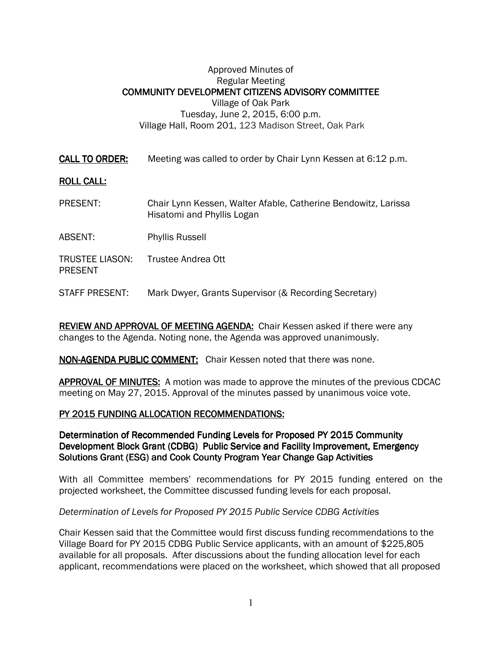## Approved Minutes of Regular Meeting COMMUNITY DEVELOPMENT CITIZENS ADVISORY COMMITTEE Village of Oak Park Tuesday, June 2, 2015, 6:00 p.m. Village Hall, Room 201, 123 Madison Street, Oak Park

CALL TO ORDER: Meeting was called to order by Chair Lynn Kessen at 6:12 p.m.

## **ROLL CALL:**

- PRESENT: Chair Lynn Kessen, Walter Afable, Catherine Bendowitz, Larissa Hisatomi and Phyllis Logan
- ABSENT: Phyllis Russell
- TRUSTEE LIASON: Trustee Andrea Ott PRESENT
- STAFF PRESENT: Mark Dwyer, Grants Supervisor (& Recording Secretary)

REVIEW AND APPROVAL OF MEETING AGENDA: Chair Kessen asked if there were any changes to the Agenda. Noting none, the Agenda was approved unanimously.

#### NON-AGENDA PUBLIC COMMENT: Chair Kessen noted that there was none.

APPROVAL OF MINUTES: A motion was made to approve the minutes of the previous CDCAC meeting on May 27, 2015. Approval of the minutes passed by unanimous voice vote.

#### PY 2015 FUNDING ALLOCATION RECOMMENDATIONS:

Determination of Recommended Funding Levels for Proposed PY 2015 Community Development Block Grant (CDBG) Public Service and Facility Improvement, Emergency Solutions Grant (ESG) and Cook County Program Year Change Gap Activities

With all Committee members' recommendations for PY 2015 funding entered on the projected worksheet, the Committee discussed funding levels for each proposal.

#### Determination of Levels for Proposed PY 2015 Public Service CDBG Activities

Chair Kessen said that the Committee would first discuss funding recommendations to the Village Board for PY 2015 CDBG Public Service applicants, with an amount of \$225,805 available for all proposals. After discussions about the funding allocation level for each applicant, recommendations were placed on the worksheet, which showed that all proposed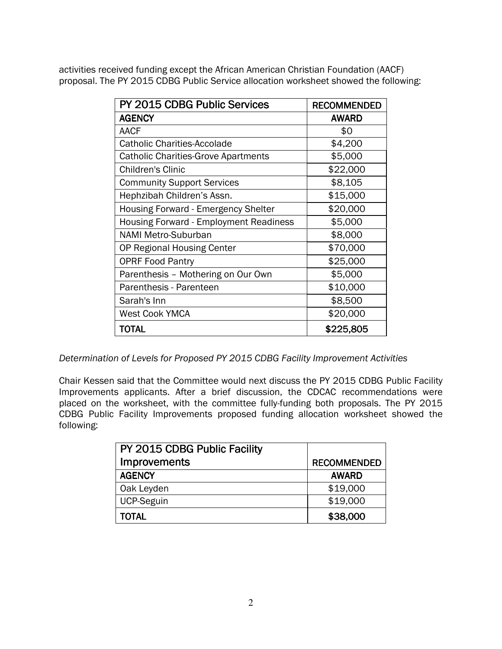activities received funding except the African American Christian Foundation (AACF) proposal. The PY 2015 CDBG Public Service allocation worksheet showed the following:

| PY 2015 CDBG Public Services                  | <b>RECOMMENDED</b> |
|-----------------------------------------------|--------------------|
| <b>AGENCY</b>                                 | <b>AWARD</b>       |
| <b>AACF</b>                                   | \$0                |
| <b>Catholic Charities-Accolade</b>            | \$4,200            |
| <b>Catholic Charities-Grove Apartments</b>    | \$5,000            |
| <b>Children's Clinic</b>                      | \$22,000           |
| <b>Community Support Services</b>             | \$8,105            |
| Hephzibah Children's Assn.                    | \$15,000           |
| Housing Forward - Emergency Shelter           | \$20,000           |
| <b>Housing Forward - Employment Readiness</b> | \$5,000            |
| <b>NAMI Metro-Suburban</b>                    | \$8,000            |
| OP Regional Housing Center                    | \$70,000           |
| <b>OPRF Food Pantry</b>                       | \$25,000           |
| Parenthesis - Mothering on Our Own            | \$5,000            |
| Parenthesis - Parenteen                       | \$10,000           |
| Sarah's Inn                                   | \$8,500            |
| <b>West Cook YMCA</b>                         | \$20,000           |
| TOTAL                                         | \$225,805          |

Determination of Levels for Proposed PY 2015 CDBG Facility Improvement Activities

Chair Kessen said that the Committee would next discuss the PY 2015 CDBG Public Facility Improvements applicants. After a brief discussion, the CDCAC recommendations were placed on the worksheet, with the committee fully-funding both proposals. The PY 2015 CDBG Public Facility Improvements proposed funding allocation worksheet showed the following:

| PY 2015 CDBG Public Facility |                    |
|------------------------------|--------------------|
| <b>Improvements</b>          | <b>RECOMMENDED</b> |
| <b>AGENCY</b>                | <b>AWARD</b>       |
| Oak Leyden                   | \$19,000           |
| <b>UCP-Seguin</b>            | \$19,000           |
| <b>TOTAL</b>                 | \$38,000           |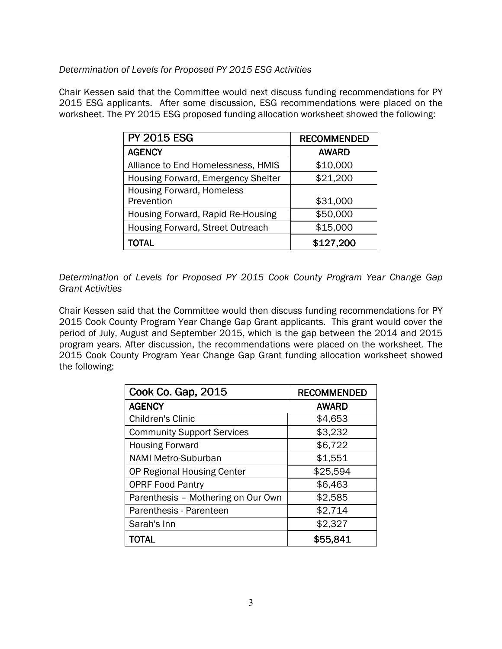# Determination of Levels for Proposed PY 2015 ESG Activities

Chair Kessen said that the Committee would next discuss funding recommendations for PY 2015 ESG applicants. After some discussion, ESG recommendations were placed on the worksheet. The PY 2015 ESG proposed funding allocation worksheet showed the following:

| <b>PY 2015 ESG</b>                 | <b>RECOMMENDED</b> |
|------------------------------------|--------------------|
| <b>AGENCY</b>                      | <b>AWARD</b>       |
| Alliance to End Homelessness, HMIS | \$10,000           |
| Housing Forward, Emergency Shelter | \$21,200           |
| <b>Housing Forward, Homeless</b>   |                    |
| Prevention                         | \$31,000           |
| Housing Forward, Rapid Re-Housing  | \$50,000           |
| Housing Forward, Street Outreach   | \$15,000           |
| TOTAL                              | \$127,200          |

Determination of Levels for Proposed PY 2015 Cook County Program Year Change Gap Grant Activities

Chair Kessen said that the Committee would then discuss funding recommendations for PY 2015 Cook County Program Year Change Gap Grant applicants. This grant would cover the period of July, August and September 2015, which is the gap between the 2014 and 2015 program years. After discussion, the recommendations were placed on the worksheet. The 2015 Cook County Program Year Change Gap Grant funding allocation worksheet showed the following:

| Cook Co. Gap, 2015                 | <b>RECOMMENDED</b> |
|------------------------------------|--------------------|
| <b>AGENCY</b>                      | <b>AWARD</b>       |
| <b>Children's Clinic</b>           | \$4,653            |
| <b>Community Support Services</b>  | \$3,232            |
| <b>Housing Forward</b>             | \$6,722            |
| NAMI Metro-Suburban                | \$1,551            |
| OP Regional Housing Center         | \$25,594           |
| <b>OPRF Food Pantry</b>            | \$6,463            |
| Parenthesis - Mothering on Our Own | \$2,585            |
| Parenthesis - Parenteen            | \$2,714            |
| Sarah's Inn                        | \$2,327            |
| TOTAL                              | \$55,841           |